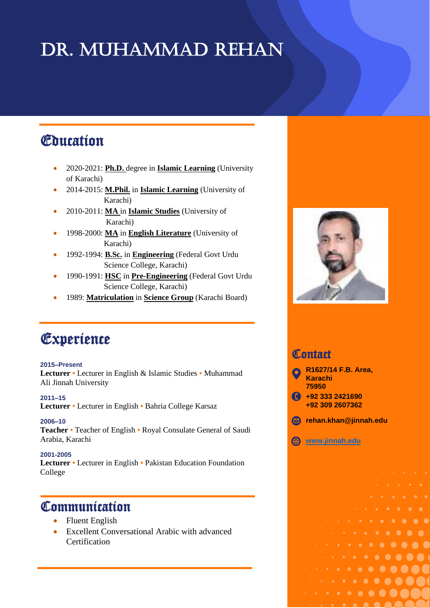# DR. MUHAMMAD REHAN

## Education

- 2020-2021: **Ph.D.** degree in **Islamic Learning** (University of Karachi)
- 2014-2015: **M.Phil.** in **Islamic Learning** (University of Karachi)
- 2010-2011: **MA** in **Islamic Studies** (University of Karachi)
- 1998-2000: **MA** in **English Literature** (University of Karachi)
- 1992-1994: **B.Sc.** in **Engineering** (Federal Govt Urdu Science College, Karachi)
- 1990-1991: **HSC** in **Pre-Engineering** (Federal Govt Urdu Science College, Karachi)
- 1989: **Matriculation** in **Science Group** (Karachi Board)

# Experience

#### **2015–Present**

**Lecturer •** Lecturer in English & Islamic Studies **•** Muhammad Ali Jinnah University

**2011–15**

**Lecturer •** Lecturer in English **•** Bahria College Karsaz

**2006–10**

**Teacher •** Teacher of English **•** Royal Consulate General of Saudi Arabia, Karachi

**2001-2005** 

í

**Lecturer •** Lecturer in English **•** Pakistan Education Foundation College

### **Communication**

- Fluent English
- Excellent Conversational Arabic with advanced Certification



#### **Contact**



**[www.jinnah.edu](http://www.jinnah.edu/)**

 $\bullet\hspace{0.1cm} \bullet\hspace{0.1cm} \bullet\hspace{0.1cm} \bullet\hspace{0.1cm} \bullet\hspace{0.1cm} \bullet\hspace{0.1cm} \bullet\hspace{0.1cm} \bullet\hspace{0.1cm} \bullet\hspace{0.1cm} \bullet\hspace{0.1cm} \bullet\hspace{0.1cm} \bullet\hspace{0.1cm} \bullet\hspace{0.1cm} \bullet\hspace{0.1cm} \bullet\hspace{0.1cm} \bullet\hspace{0.1cm} \bullet\hspace{0.1cm} \bullet\hspace{0.1cm} \bullet\hspace{0.1cm} \bullet\hspace{0.1cm}$  $\bullet\hspace{0.1cm} \bullet\hspace{0.1cm} \bullet\hspace{0.1cm} \bullet\hspace{0.1cm} \bullet\hspace{0.1cm} \bullet\hspace{0.1cm} \bullet\hspace{0.1cm} \bullet\hspace{0.1cm} \bullet\hspace{0.1cm} \bullet$ 

 $\cdot$  . . . . . . . . . . 

 $\cdots$  . . . . . . .